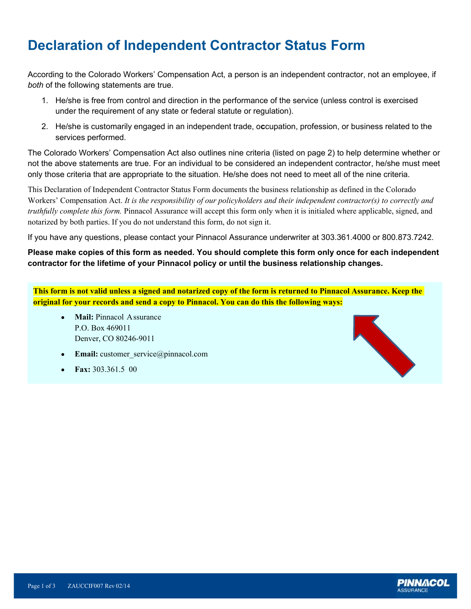## **Declaration of Independent Contractor Status Form**

According to the Colorado Workers' Compensation Act, a person is an independent contractor, not an employee, if *both* of the following statements are true.

- 1. He/she is free from control and direction in the performance of the service (unless control is exercised under the requirement of any state or federal statute or regulation).
- 2. He/she is customarily engaged in an independent trade, o**c**cupation, profession, or business related to the services performed.

The Colorado Workers' Compensation Act also outlines nine criteria (listed on page 2) to help determine whether or not the above statements are true. For an individual to be considered an independent contractor, he/she must meet only those criteria that are appropriate to the situation. He/she does not need to meet all of the nine criteria.

This Declaration of Independent Contractor Status Form documents the business relationship as defined in the Colorado Workers' Compensation Act. *It is the responsibility of our policyholders and their independent contractor(s) to correctly and truthfully complete this form.* Pinnacol Assurance will accept this form only when it is initialed where applicable, signed, and notarized by both parties. If you do not understand this form, do not sign it.

If you have any questions, please contact your Pinnacol Assurance underwriter at 303.361.4000 or 800.873.7242.

#### **Please make copies of this form as needed. You should complete this form only once for each independent contractor for the lifetime of your Pinnacol policy or until the business relationship changes.**

**e This form is not valid unless a signed and notarized copy of the form is returned to Pinnacol Assurance. Keep the original for your records and send a copy to Pinnacol. You can do this the following ways:**

- Denver, CO 80246-9011 A **Mail:** Pinnacol Assurance P.O. Box 469011
- **Email:** [customer\\_service@pinnacol.com](mailto:customer_service@pinnacol.com)  $\bullet$
- 0 **Fax:** 303.361.5 00



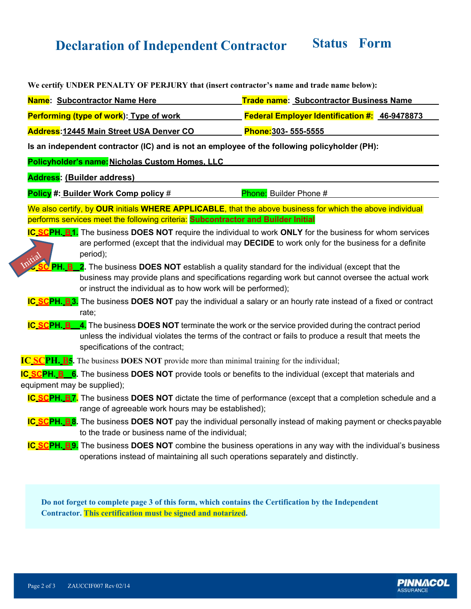# **Declaration of Independent Contractor Status Form**

| We certify UNDER PENALTY OF PERJURY that (insert contractor's name and trade name below):        |                                                                                                                                                                                                                       |
|--------------------------------------------------------------------------------------------------|-----------------------------------------------------------------------------------------------------------------------------------------------------------------------------------------------------------------------|
| Name: Subcontractor Name Here                                                                    | <b>Trade name: Subcontractor Business Name</b>                                                                                                                                                                        |
| Performing (type of work): Type of work                                                          | <b>Federal Employer Identification #: 46-9478873</b>                                                                                                                                                                  |
| <b>Address: 12445 Main Street USA Denver CO</b>                                                  | Phone: 303 - 555 - 5555                                                                                                                                                                                               |
| Is an independent contractor (IC) and is not an employee of the following policyholder (PH):     |                                                                                                                                                                                                                       |
| Policyholder's name: Nicholas Custom Homes. LLC                                                  |                                                                                                                                                                                                                       |
| <b>Address: (Builder address)</b>                                                                |                                                                                                                                                                                                                       |
| Policy #: Builder Work Comp policy #                                                             | Phone: Builder Phone #                                                                                                                                                                                                |
| performs services meet the following criteria: Subcontractor and Builder Initial                 | We also certify, by OUR initials WHERE APPLICABLE, that the above business for which the above individual                                                                                                             |
| period);<br>nitial                                                                               | IC SCPH. B.1. The business DOES NOT require the individual to work ONLY for the business for whom services<br>are performed (except that the individual may DECIDE to work only for the business for a definite       |
| or instruct the individual as to how work will be performed);                                    | PH. B_2. The business DOES NOT establish a quality standard for the individual (except that the<br>business may provide plans and specifications regarding work but cannot oversee the actual work                    |
| rate;                                                                                            | IC SCPH. B3. The business DOES NOT pay the individual a salary or an hourly rate instead of a fixed or contract                                                                                                       |
| <b>IC_SCPH. B</b><br>specifications of the contract;                                             | $\overline{.}4$ . The business DOES NOT terminate the work or the service provided during the contract period<br>unless the individual violates the terms of the contract or fails to produce a result that meets the |
| <b>IC SCPH. B5.</b> The business DOES NOT provide more than minimal training for the individual; |                                                                                                                                                                                                                       |
| equipment may be supplied);                                                                      | IC SCPH. B 6. The business DOES NOT provide tools or benefits to the individual (except that materials and                                                                                                            |
| range of agreeable work hours may be established);                                               | <b>IC SCPH. B7.</b> The business DOES NOT dictate the time of performance (except that a completion schedule and a                                                                                                    |
| to the trade or business name of the individual;                                                 | IC SCPH. B8. The business DOES NOT pay the individual personally instead of making payment or checks payable                                                                                                          |
|                                                                                                  | <b>IC SCPH, B9.</b> The business DOES NOT combine the business operations in any way with the individual's business<br>operations instead of maintaining all such operations separately and distinctly.               |
|                                                                                                  |                                                                                                                                                                                                                       |
|                                                                                                  |                                                                                                                                                                                                                       |

**Do not forget to complete page 3 of this form, which contains the Certification by the Independent Contractor. This certification must be signed and notarized.**